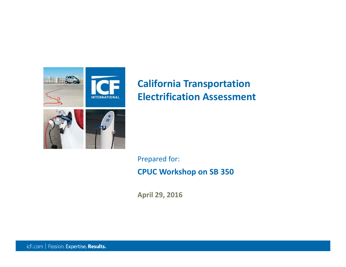

## **California Transportation Electrification Assessment**

**CPUC Workshop on SB 350** Prepared for:

**April 29, 2016**

icfi.com | Passion. Expertise. Results.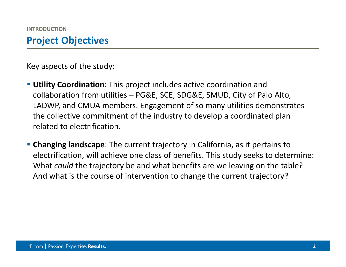Key aspects of the study:

- **Utility Coordination**: This project includes active coordination and collaboration from utilities – PG&E, SCE, SDG&E, SMUD, City of Palo Alto, LADWP, and CMUA members. Engagement of so many utilities demonstrates the collective commitment of the industry to develop <sup>a</sup> coordinated plan related to electrification.
- **Changing landscape**: The current trajectory in California, as it pertains to electrification, will achieve one class of benefits. This study seeks to determine: What *could* the trajectory be and what benefits are we leaving on the table? And what is the course of intervention to change the current trajectory?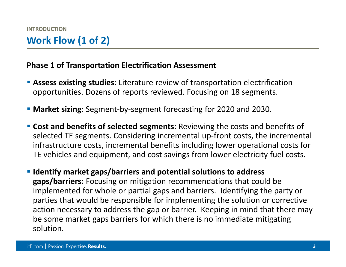### **Work Flow (1 of 2)**

### **Phase 1 of Transportation Electrification Assessment**

- **Assess existing studies**: Literature review of transportation electrification opportunities. Dozens of reports reviewed. Focusing on 18 segments.
- **Market sizing**: Segment-by-segment forecasting for 2020 and 2030.
- **Cost and benefits of selected segments**: Reviewing the costs and benefits of selected TE segments. Considering incremental up‐front costs, the incremental infrastructure costs, incremental benefits including lower operational costs for TE vehicles and equipment, and cost savings from lower electricity fuel costs.
- **Identify market gaps/barriers and potential solutions to address gaps/barriers:** Focusing on mitigation recommendations that could be implemented for whole or partial gaps and barriers. Identifying the party or parties that would be responsible for implementing the solution or corrective action necessary to address the gap or barrier. Keeping in mind that there may be some market gaps barriers for which there is no immediate mitigating solution.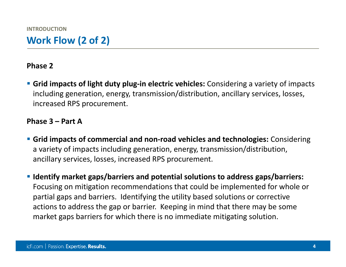### **Phase 2**

 **Grid impacts of light duty plug‐in electric vehicles:** Considering <sup>a</sup> variety of impacts including generation, energy, transmission/distribution, ancillary services, losses, increased RPS procurement.

#### **Phase 3 – Part A**

- **Grid impacts of commercial and non‐road vehicles and technologies:** Considering a variety of impacts including generation, energy, transmission/distribution, ancillary services, losses, increased RPS procurement.
- **Identify market gaps/barriers and potential solutions to address gaps/barriers:** Focusing on mitigation recommendations that could be implemented for whole or partial gaps and barriers. Identifying the utility based solutions or corrective actions to address the gap or barrier. Keeping in mind that there may be some market gaps barriers for which there is no immediate mitigating solution.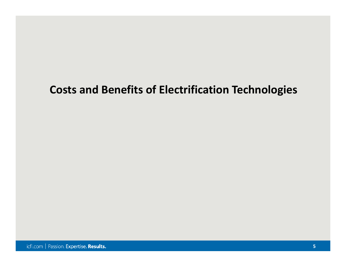## **Costs and Benefits of Electrification Technologies**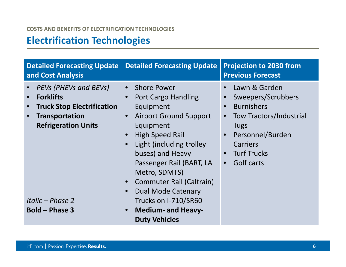#### **COSTS AND BENEFITS OF ELECTRIFICATION TECHNOLOGIES**

### **Electrification Technologies**

| <b>Detailed Forecasting Update</b><br>and Cost Analysis                                                                                                                                   | <b>Detailed Forecasting Update</b>                                                                                                                                                                                                                                                                                                                                                                                                               | <b>Projection to 2030 from</b><br><b>Previous Forecast</b>                                                                                                                                 |
|-------------------------------------------------------------------------------------------------------------------------------------------------------------------------------------------|--------------------------------------------------------------------------------------------------------------------------------------------------------------------------------------------------------------------------------------------------------------------------------------------------------------------------------------------------------------------------------------------------------------------------------------------------|--------------------------------------------------------------------------------------------------------------------------------------------------------------------------------------------|
| <b>PEVs (PHEVs and BEVs)</b><br><b>Forklifts</b><br><b>Truck Stop Electrification</b><br><b>Transportation</b><br><b>Refrigeration Units</b><br>Italic – Phase 2<br><b>Bold - Phase 3</b> | <b>Shore Power</b><br>$\bullet$<br>Port Cargo Handling<br>Equipment<br><b>Airport Ground Support</b><br>$\bullet$<br>Equipment<br><b>High Speed Rail</b><br>Light (including trolley)<br>$\bullet$<br>buses) and Heavy<br>Passenger Rail (BART, LA<br>Metro, SDMTS)<br>Commuter Rail (Caltrain)<br>$\bullet$<br><b>Dual Mode Catenary</b><br>$\bullet$<br>Trucks on I-710/SR60<br><b>Medium- and Heavy-</b><br>$\bullet$<br><b>Duty Vehicles</b> | Lawn & Garden<br>Sweepers/Scrubbers<br><b>Burnishers</b><br><b>Tow Tractors/Industrial</b><br><b>Tugs</b><br>Personnel/Burden<br>$\bullet$<br>Carriers<br><b>Turf Trucks</b><br>Golf carts |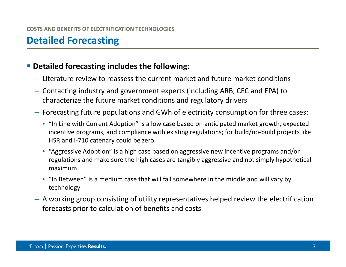## **Detailed Forecasting**

### **Detailed forecasting includes the following:**

- Literature review to reassess the current market and future market conditions
- Contacting industry and government experts (including ARB, CEC and EPA) to characterize the future market conditions and regulatory drivers
- Forecasting future populations and GWh of electricity consumption for three cases:
	- "In Line with Current Adoption" is <sup>a</sup> low case based on anticipated market growth, expected incentive programs, and compliance with existing regulations; for build/no‐build projects like HSR and I‐710 catenary could be zero
	- "Aggressive Adoption" is <sup>a</sup> high case based on aggressive new incentive programs and/or regulations and make sure the high cases are tangibly aggressive and not simply hypothetical maximum
	- "In Between" is <sup>a</sup> medium case that will fall somewhere in the middle and will vary by technology
- A working group consisting of utility representatives helped review the electrification forecasts prior to calculation of benefits and costs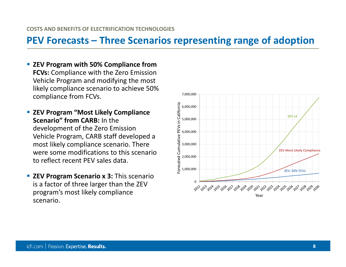### **PEV Forecasts – Three Scenarios representing range of adoption**

- **ZEV Program with 50% Compliance from FCVs:** Compliance with the Zero Emission Vehicle Program and modifying the most likely compliance scenario to achieve 50% compliance from FCVs.
- **ZEV Program "Most Likely Compliance Scenario" from CARB:** In the development of the Zero Emission Vehicle Program, CARB staff developed <sup>a</sup> most likely compliance scenario. There were some modifications to this scenario to reflect recent PEV sales data.
- **ZEV Program Scenario <sup>x</sup> 3:** This scenario is a factor of three larger than the ZEV program's most likely compliance scenario.

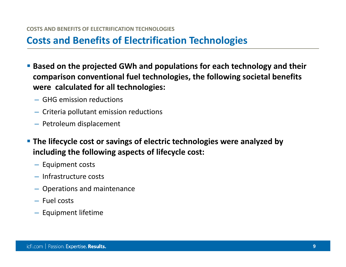### **Costs and Benefits of Electrification Technologies**

- **Based on the projected GWh and populations for each technology and their comparison conventional fuel technologies, the following societal benefits were calculated for all technologies:**
	- GHG emission reductions
	- Criteria pollutant emission reductions
	- Petroleum displacement
- **The lifecycle cost or savings of electric technologies were analyzed by including the following aspects of lifecycle cost:**
	- Equipment costs
	- Infrastructure costs
	- Operations and maintenance
	- Fuel costs
	- Equipment lifetime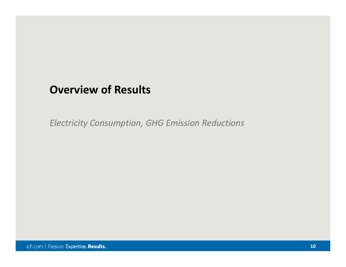### **Overview of Results**

*Electricity Consumption, GHG Emission Reductions*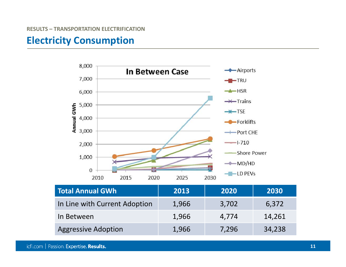### **Electricity Consumption**



Aggressive Adoption 1,966 7,296 34,238

icfi.com | Passion. Expertise. Results.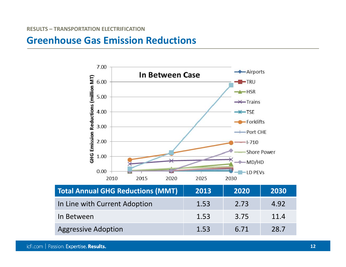### **Greenhouse Gas Emission Reductions**

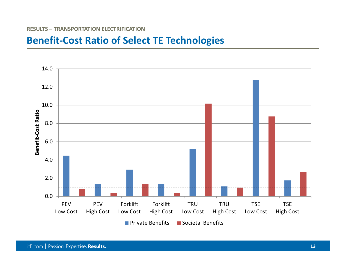#### **RESULTS – TRANSPORTATION ELECTRIFICATION**

### **Benefit‐Cost Ratio of Select TE Technologies**

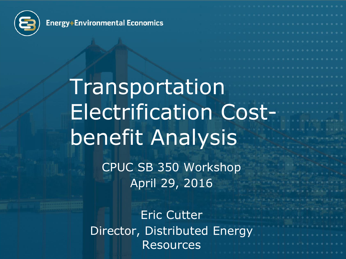

Energy+Environmental Economics

## Transportation Electrification Costbenefit Analysis CPUC SB 350 Workshop April 29, 2016

Eric Cutter Director, Distributed Energy **Resources**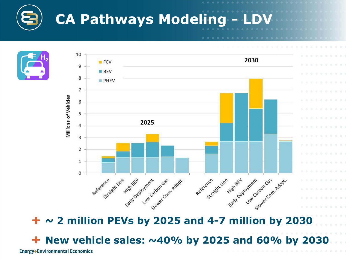





**~ 2 million PEVs by 2025 and 4-7 million by 2030**

**New vehicle sales: ~40% by 2025 and 60% by 2030**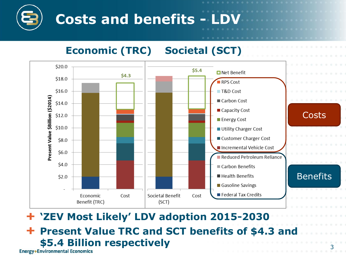## **Costs and benefits -**

### **Economic (TRC) Societal (SCT)**



### **'ZEV Most Likely' LDV adoption 2015-2030 Present Value TRC and SCT benefits of \$4.3 and**  ÷ **\$5.4 Billion respectively**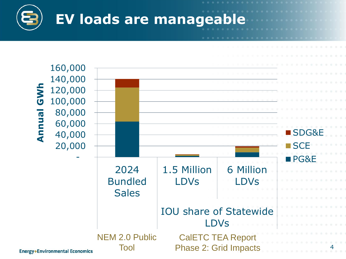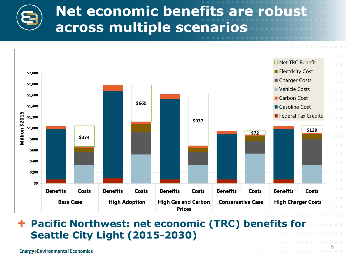## **Net economic benefits are robust across multiple scenarios**



### **Pacific Northwest: net economic (TRC) benefits for Seattle City Light (2015-2030)**

5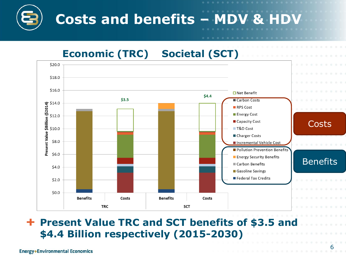# **Costs and benefits – MDV & HDV**

### **Economic (TRC) Societal (SCT)**



### **Present Value TRC and SCT benefits of \$3.5 and \$4.4 Billion respectively (2015-2030)**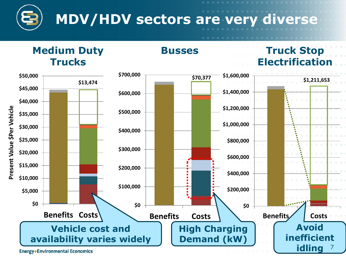



**Busses**

### **Truck Stop Electrification**

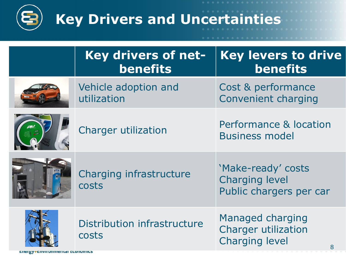

| Key drivers of net-<br><b>benefits</b> | <b>Key levers to drive</b><br><b>benefits</b>                                                  |
|----------------------------------------|------------------------------------------------------------------------------------------------|
| Vehicle adoption and<br>utilization    | Cost & performance<br><b>Convenient charging</b>                                               |
| <b>Charger utilization</b>             | Performance & location<br><b>Business model</b>                                                |
| Charging infrastructure<br>costs       | 'Make-ready' costs<br><b>Charging level</b><br>Public chargers per car                         |
| Distribution infrastructure<br>costs   | <b>Managed charging</b><br><b>Charger utilization</b><br><b>Charging level</b><br><sup>R</sup> |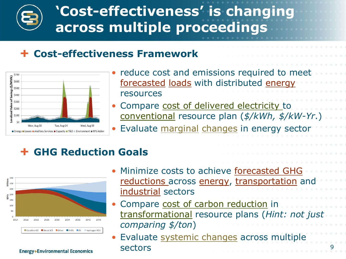## **'Cost-effectiveness' is changing across multiple proceedings**

### **Cost-effectiveness Framework**



- reduce cost and emissions required to meet forecasted loads with distributed energy resources
- Compare cost of delivered electricity to conventional resource plan (*\$/kWh, \$/kW-Yr*.)
- Evaluate marginal changes in energy sector

### **GHG Reduction Goals**



- Minimize costs to achieve forecasted GHG reductions across energy, transportation and industrial sectors
- Compare cost of carbon reduction in transformational resource plans (*Hint: not just comparing \$/ton*)
- Evaluate systemic changes across multiple sectors